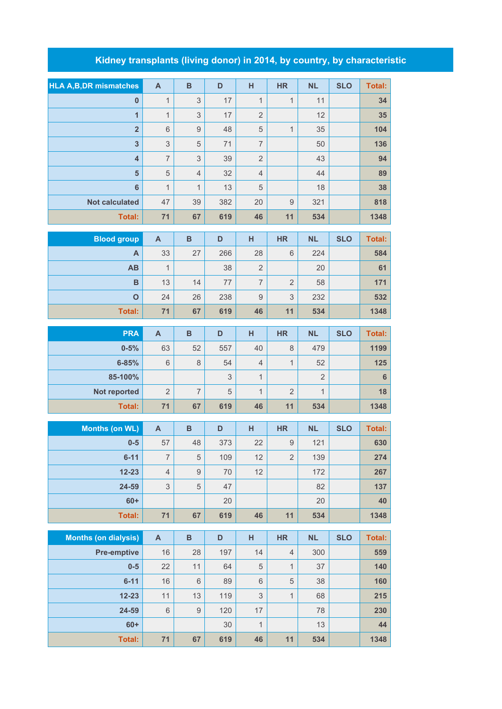## **Kidney transplants (living donor) in 2014, by country, by characteristic**

| <b>HLA A,B,DR mismatches</b> | $\mathsf{A}$              | $\, {\bf B}$              | D           | H                         | <b>HR</b>      | <b>NL</b>      | <b>SLO</b> | <b>Total:</b>   |
|------------------------------|---------------------------|---------------------------|-------------|---------------------------|----------------|----------------|------------|-----------------|
| 0                            | $\mathbf{1}$              | $\mathsf 3$               | 17          | $\mathbf{1}$              | $\mathbf{1}$   | 11             |            | 34              |
| $\overline{1}$               | $\mathbf{1}$              | 3                         | 17          | $\overline{2}$            |                | 12             |            | 35              |
| $\overline{\mathbf{2}}$      | 6                         | $\boldsymbol{9}$          | 48          | $\overline{5}$            | $\mathbf{1}$   | 35             |            | 104             |
| $\overline{\mathbf{3}}$      | 3                         | $\sqrt{5}$                | 71          | $\overline{7}$            |                | 50             |            | 136             |
| $\overline{4}$               | $\overline{7}$            | $\ensuremath{\mathsf{3}}$ | 39          | $\overline{2}$            |                | 43             |            | 94              |
| $5\phantom{1}$               | 5                         | $\overline{4}$            | 32          | $\overline{4}$            |                | 44             |            | 89              |
| $6\phantom{a}$               | $\mathbf{1}$              | $\mathbf{1}$              | 13          | 5                         |                | 18             |            | 38              |
| <b>Not calculated</b>        | 47                        | 39                        | 382         | 20                        | $\mathcal{G}$  | 321            |            | 818             |
| <b>Total:</b>                | 71                        | 67                        | 619         | 46                        | 11             | 534            |            | 1348            |
|                              |                           |                           |             |                           |                |                |            |                 |
| <b>Blood group</b>           | $\mathsf{A}$              | $\overline{B}$            | D           | $\overline{H}$            | <b>HR</b>      | <b>NL</b>      | <b>SLO</b> | <b>Total:</b>   |
| A                            | 33                        | 27                        | 266         | 28                        | 6              | 224            |            | 584             |
| AB                           | $\mathbf{1}$              |                           | 38          | $\overline{2}$            |                | 20             |            | 61              |
| B                            | 13                        | 14                        | 77          | $\overline{7}$            | $\overline{2}$ | 58             |            | 171             |
| $\mathbf{o}$                 | 24                        | 26                        | 238         | $\hbox{9}$                | 3              | 232            |            | 532             |
| <b>Total:</b>                | 71                        | 67                        | 619         | 46                        | 11             | 534            |            | 1348            |
| <b>PRA</b>                   | $\mathsf{A}$              | $\overline{B}$            | D           | H                         | <b>HR</b>      | <b>NL</b>      | <b>SLO</b> | <b>Total:</b>   |
| $0 - 5%$                     | 63                        | 52                        | 557         | 40                        | 8              | 479            |            | 1199            |
| $6 - 85%$                    | $6\,$                     | $\,8\,$                   | 54          | $\overline{4}$            | $\mathbf{1}$   | 52             |            | 125             |
| 85-100%                      |                           |                           | $\mathsf 3$ | $\mathbf 1$               |                | $\overline{2}$ |            | $6\phantom{1}6$ |
| Not reported                 | $\overline{2}$            | $\overline{7}$            | 5           | $\mathbf{1}$              | $\overline{2}$ | 1              |            | 18              |
| <b>Total:</b>                | 71                        | 67                        | 619         | 46                        | 11             | 534            |            | 1348            |
|                              |                           |                           |             |                           |                |                |            |                 |
| <b>Months (on WL)</b>        | $\boldsymbol{\mathsf{A}}$ | $\overline{B}$            | D           | H                         | <b>HR</b>      | <b>NL</b>      | <b>SLO</b> | <b>Total:</b>   |
| $0-5$                        | 57                        | 48                        | 373         | 22                        | $\hbox{9}$     | 121            |            | 630             |
| $6 - 11$                     | $\overline{7}$            | $\sqrt{5}$                | 109         | 12                        | $\overline{2}$ | 139            |            | 274             |
| $12 - 23$                    | $\overline{4}$            | $9\,$                     | 70          | 12                        |                | 172            |            | 267             |
| 24-59                        | $\mathsf 3$               | $\sqrt{5}$                | 47          |                           |                | 82             |            | 137             |
| $60+$                        |                           |                           | 20          |                           |                | 20             |            | 40              |
| <b>Total:</b>                | 71                        | 67                        | 619         | 46                        | 11             | 534            |            | 1348            |
| <b>Months (on dialysis)</b>  | $\boldsymbol{\mathsf{A}}$ | B                         | D           | H                         | <b>HR</b>      | <b>NL</b>      | <b>SLO</b> | <b>Total:</b>   |
| <b>Pre-emptive</b>           | 16                        | 28                        | 197         | 14                        | $\overline{4}$ | 300            |            | 559             |
| $0-5$                        | 22                        | 11                        | 64          | $\sqrt{5}$                | $\mathbf{1}$   | 37             |            | 140             |
| $6 - 11$                     | 16                        | 6                         | 89          | $6\,$                     | $\sqrt{5}$     | 38             |            | 160             |
| $12 - 23$                    | 11                        | 13                        | 119         | $\ensuremath{\mathsf{3}}$ | $\mathbf{1}$   | 68             |            | 215             |
| 24-59                        | $\,6$                     | $\boldsymbol{9}$          | 120         | 17                        |                | 78             |            | 230             |
| $60+$                        |                           |                           | 30          | $\mathbf{1}$              |                | 13             |            | 44              |
| Total:                       | 71                        | 67                        | 619         | 46                        | 11             | 534            |            | 1348            |